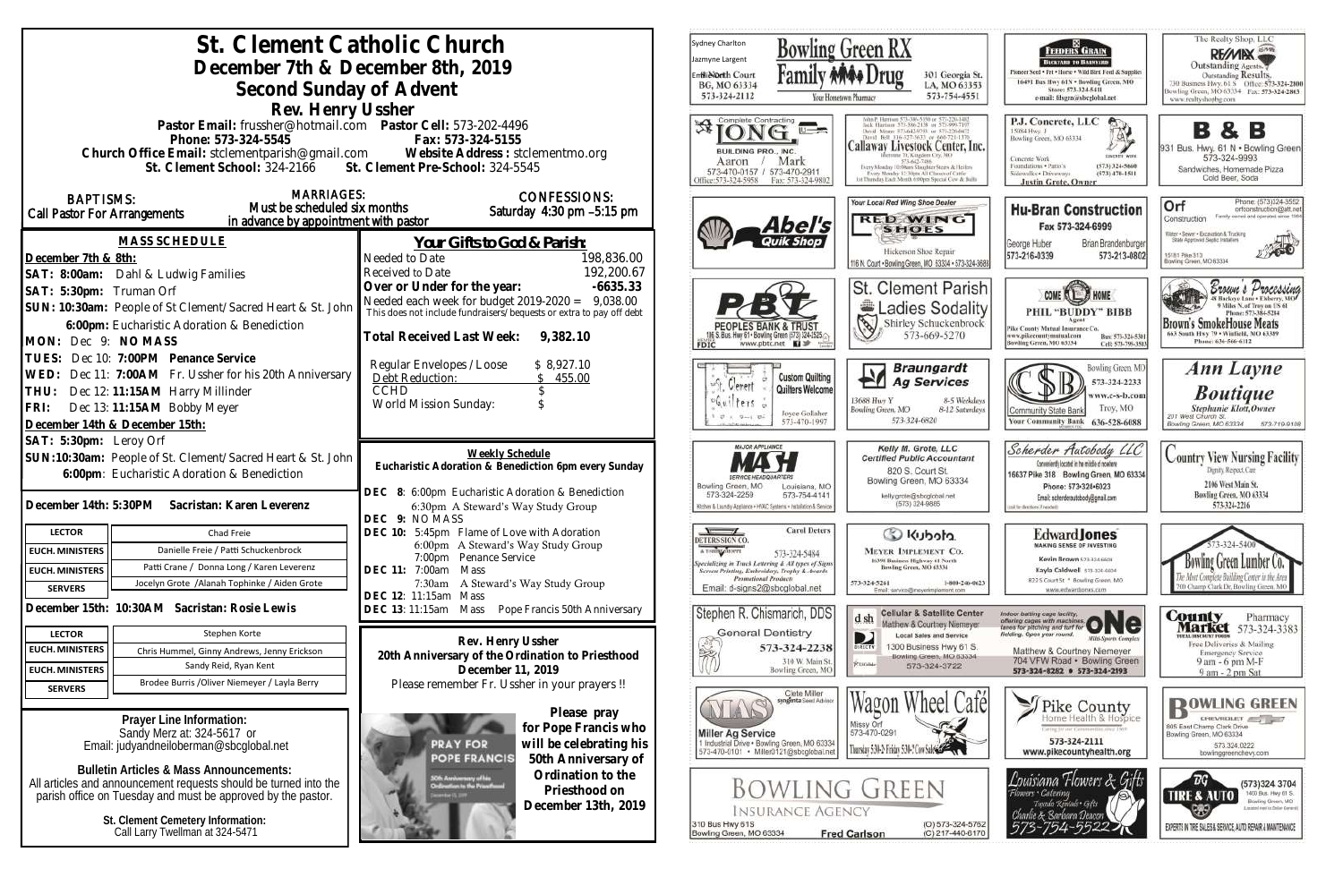| St. Clement Catholic Church                                                                                                      | Sydney Charlton<br>Bowling Green RX<br>Jazmyne Largent                                                                                                                                                                    |                                                                                                                                                                                                   |
|----------------------------------------------------------------------------------------------------------------------------------|---------------------------------------------------------------------------------------------------------------------------------------------------------------------------------------------------------------------------|---------------------------------------------------------------------------------------------------------------------------------------------------------------------------------------------------|
| December 7th & December 8th, 2019                                                                                                | <b>Enflie Orth Court</b><br>301 Georgia S<br>BG, MO 63334<br>LA, MO 6339                                                                                                                                                  |                                                                                                                                                                                                   |
| Second Sunday of Advent                                                                                                          |                                                                                                                                                                                                                           | 573-754-455<br>573-324-2112<br>Your Hontetown Pharmacy                                                                                                                                            |
| Rev. Henry Ussher<br>Pastor Email: frussher@hotmail.com    Pastor Cell: 573-202-4496                                             | Complete Contracting                                                                                                                                                                                                      |                                                                                                                                                                                                   |
| Phone: 573-324-5545                                                                                                              | Fax: 573-324-5155                                                                                                                                                                                                         |                                                                                                                                                                                                   |
| Church Office Email: stclementparish@gmail.com Website Address : stclementmo.org                                                 |                                                                                                                                                                                                                           | Callaway Livestock Center, In<br>BUILDING PRO., INC.<br>Mark<br>Aaron<br>573-642-7486                                                                                                             |
| St. Clement School: 324-2166 St. Clement Pre-School: 324-5545                                                                    | Every Monday 10:99am Staughter Steers & Heiler<br>573-470-0157 / 573-470-2911<br>Every Monday 12: Mints All Classes of Cattle<br>Office:573-324-5958<br>118 Thursday Each Month 6:00pm Special Cow &<br>Fax: 573-324-9802 |                                                                                                                                                                                                   |
| <b>MARRIAGES:</b><br><b>BAPTISMS:</b>                                                                                            | Your Local Red Wing Shoe Dealer                                                                                                                                                                                           |                                                                                                                                                                                                   |
| Must be scheduled six months<br><b>Call Pastor For Arrangements</b><br>in advance by appointment with pastor                     | Saturday 4:30 pm -5:15 pm                                                                                                                                                                                                 | <b>RED WING</b>                                                                                                                                                                                   |
| <b>MASS SCHEDULE</b>                                                                                                             | <u>Your Gifts to God &amp; Parish:</u>                                                                                                                                                                                    | Abel's<br><b>SHOES</b>                                                                                                                                                                            |
| December 7th & 8th:                                                                                                              | 198,836.00<br>Needed to Date                                                                                                                                                                                              | Hickerson Shoe Repair<br>116 N. Court . Bowling Green, MO 63334 . 573-324                                                                                                                         |
| SAT: 8:00am: Dahl & Ludwig Families                                                                                              | 192,200.67<br>Received to Date                                                                                                                                                                                            |                                                                                                                                                                                                   |
| SAT: 5:30pm: Truman Orf                                                                                                          | Over or Under for the year:<br>$-6635.33$                                                                                                                                                                                 | St. Clement Paris                                                                                                                                                                                 |
| SUN: 10:30am: People of St Clement/Sacred Heart & St. John                                                                       | Needed each week for budget $2019-2020 = 9,038.00$<br>This does not include fundraisers/bequests or extra to pay off debt                                                                                                 | <b>Ladies Sodali</b>                                                                                                                                                                              |
| 6:00pm: Eucharistic Adoration & Benediction                                                                                      | Total Received Last Week:<br>9,382.10                                                                                                                                                                                     | 13<br>Shirley Schuckenbro<br><b>PEOPLES BANK &amp; TRUS</b><br>573-669-5270<br>S. Bus. Hwy 61 . Bowling Green (573) 324-2525.                                                                     |
| MON: Dec 9: NO MASS<br>TUES: Dec 10: 7:00PM Penance Service                                                                      |                                                                                                                                                                                                                           | www.pbtc.net <b>Q</b><br>FDIC                                                                                                                                                                     |
| WED: Dec 11: 7:00AM Fr. Ussher for his 20th Anniversary                                                                          | Regular Envelopes / Loose<br>\$8,927.10<br>Debt Reduction:<br>455.00                                                                                                                                                      | <b>Braungardt</b><br><b>Custom Quilting</b>                                                                                                                                                       |
| Dec 12: 11:15AM Harry Millinder<br>THU:                                                                                          | <b>CCHD</b>                                                                                                                                                                                                               | <b>Ag Services</b><br>Cereri<br>Quilters Welcome                                                                                                                                                  |
| Dec 13: 11:15AM Bobby Meyer<br>FRI:                                                                                              | World Mission Sunday:                                                                                                                                                                                                     | 13688 Hwy Y<br>8-5 Weekd<br>$6$ uilters<br>8-12 Saturd<br>Bowling Green, MO<br>Joyce Gollaher                                                                                                     |
| December 14th & December 15th:                                                                                                   |                                                                                                                                                                                                                           | 573-324-6820<br>573-470-1997                                                                                                                                                                      |
| SAT: 5:30pm: Leroy Orf<br>SUN:10:30am: People of St. Clement/Sacred Heart & St. John                                             | Weekly Schedule                                                                                                                                                                                                           | MAJOR APPLIANCE<br>Kelly M. Grote, LLC<br><b>Certified Public Accountant</b>                                                                                                                      |
| 6:00pm: Eucharistic Adoration & Benediction                                                                                      | Eucharistic Adoration & Benediction 6pm every Sunday                                                                                                                                                                      | 820 S. Court St.                                                                                                                                                                                  |
|                                                                                                                                  | DEC 8: 6:00pm Eucharistic Adoration & Benediction                                                                                                                                                                         | Bowling Green, MO 63334<br>Bowling Green, MO<br>Louisiana, MO<br>573-324-2259<br>573-754-4141<br>kelly.grote@sbcglobal.net                                                                        |
| December 14th: 5:30PM Sacristan: Karen Leverenz                                                                                  | 6:30pm A Steward's Way Study Group                                                                                                                                                                                        | (573) 324-9885<br>Kitchen & Laundry Appliance . HVAC Systems . Installation & Service                                                                                                             |
| <b>LECTOR</b><br>Chad Freie                                                                                                      | DEC 9: NO MASS<br>DEC 10: 5:45pm Flame of Love with Adoration                                                                                                                                                             | <b>Carol Deters</b><br>$\sqrt{2}$<br>Colculu Col                                                                                                                                                  |
| Danielle Freie / Patti Schuckenbrock<br><b>EUCH. MINISTERS</b>                                                                   | 6:00pm A Steward's Way Study Group<br>7:00pm Penance Service                                                                                                                                                              | DETERS SIGN CO<br>A T-SBIRT SHOPPE<br><b>MEYER IMPLEMENT CO.</b><br>573-324-5484                                                                                                                  |
| Patti Crane / Donna Long / Karen Leverenz<br><b>EUCH. MINISTERS</b>                                                              | DEC 11: 7:00am<br>Mass                                                                                                                                                                                                    | 16398 Business Highway 61 North<br>Specializing in Truck Lettering & All types of Signs<br>Screen Printing, Embroidery, Trophy & Awards<br>Bowling Green, MO 63334<br><b>Promotional Products</b> |
| Jocelyn Grote /Alanah Tophinke / Aiden Grote<br><b>SERVERS</b>                                                                   | 7:30am A Steward's Way Study Group<br>DEC 12: 11:15am Mass                                                                                                                                                                | 573-324-5261<br>1-800-246-8<br>Email: d-signs2@sbcglobal.net<br>Email: service@msyerimplement.com                                                                                                 |
| December 15th: 10:30AM Sacristan: Rosie Lewis                                                                                    | DEC 13: 11:15am Mass<br>Pope Francis 50th Anniversary                                                                                                                                                                     | Stephen R. Chismarich, DDS<br><b>Cellular &amp; Satellite Cent</b><br>d, sh                                                                                                                       |
| <b>LECTOR</b><br>Stephen Korte                                                                                                   |                                                                                                                                                                                                                           | Matthew & Courtney Niemeye<br><b>General Dentistry</b><br>D<br><b>Local Sales and Service</b>                                                                                                     |
| <b>EUCH. MINISTERS</b><br>Chris Hummel, Ginny Andrews, Jenny Erickson                                                            | Rev. Henry Ussher<br>20th Anniversary of the Ordination to Priesthood                                                                                                                                                     | 1300 Business Hwy 61 S<br>573-324-2238<br>DIRECTV<br>Bowling Green, MO 63334<br>310 W. Main St.                                                                                                   |
| Sandy Reid, Ryan Kent<br><b>EUCH. MINISTERS</b>                                                                                  | December 11, 2019                                                                                                                                                                                                         | PUIDBE<br>573-324-3722<br>Bowling Green, MO                                                                                                                                                       |
| Brodee Burris / Oliver Niemeyer / Layla Berry<br><b>SERVERS</b>                                                                  | Please remember Fr. Ussher in your prayers !!                                                                                                                                                                             | Clete Miller<br>syngenta Soud Advisor                                                                                                                                                             |
|                                                                                                                                  | Please pray                                                                                                                                                                                                               | Wagon Wheel Cal                                                                                                                                                                                   |
| Prayer Line Information:<br>Sandy Merz at: 324-5617 or                                                                           | for Pope Francis who                                                                                                                                                                                                      | Missy Orl<br>573-470-0291<br><b>Miller Ag Service</b>                                                                                                                                             |
| Email: judyandneiloberman@sbcglobal.net                                                                                          | will be celebrating his<br><b>PRAY FOR</b><br><b>POPE FRANCIS</b>                                                                                                                                                         | 1 Industrial Drive . Bowling Green, MO 63334<br>Thursday 5:31-2-Friday 5:31-2 Cow Sules<br>573-470-0101 · Miller0121@sbcglobal.net                                                                |
| <b>Bulletin Articles &amp; Mass Announcements:</b>                                                                               | 50th Anniversary of<br>Ordination to the                                                                                                                                                                                  |                                                                                                                                                                                                   |
| All articles and announcement requests should be turned into the<br>parish office on Tuesday and must be approved by the pastor. | SOft: Anniversary of his<br>Ordination to the Prizefissol<br>Priesthood on                                                                                                                                                | <b>BOWLING GREEN</b>                                                                                                                                                                              |
|                                                                                                                                  | December 13th, 2019                                                                                                                                                                                                       | <b>INSURANCE AGENCY</b>                                                                                                                                                                           |
| St. Clement Cemetery Information:<br>Call Larry Twellman at 324-5471                                                             |                                                                                                                                                                                                                           | $(O) 573 - 324 - 57$<br>310 Bus Hwy 61S<br>Bowling Green, MO 63334<br><b>Fred Carlson</b><br>(C) 217-440-61                                                                                       |
|                                                                                                                                  |                                                                                                                                                                                                                           |                                                                                                                                                                                                   |